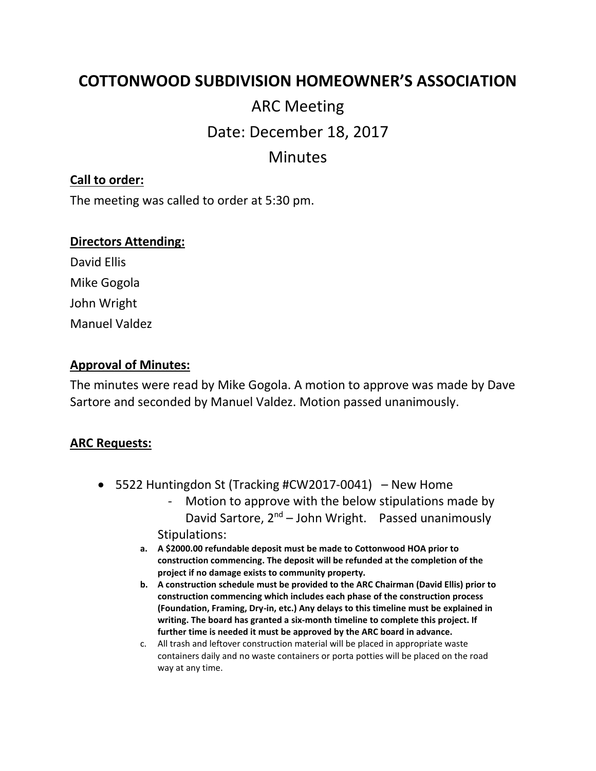## **COTTONWOOD SUBDIVISION HOMEOWNER'S ASSOCIATION**

# ARC Meeting Date: December 18, 2017

## Minutes

#### **Call to order:**

The meeting was called to order at 5:30 pm.

#### **Directors Attending:**

David Ellis Mike Gogola John Wright Manuel Valdez

#### **Approval of Minutes:**

The minutes were read by Mike Gogola. A motion to approve was made by Dave Sartore and seconded by Manuel Valdez. Motion passed unanimously.

#### **ARC Requests:**

- 5522 Huntingdon St (Tracking #CW2017-0041) New Home
	- Motion to approve with the below stipulations made by David Sartore,  $2^{nd}$  – John Wright. Passed unanimously Stipulations:
	- **a. A \$2000.00 refundable deposit must be made to Cottonwood HOA prior to construction commencing. The deposit will be refunded at the completion of the project if no damage exists to community property.**
	- **b. A construction schedule must be provided to the ARC Chairman (David Ellis) prior to construction commencing which includes each phase of the construction process (Foundation, Framing, Dry-in, etc.) Any delays to this timeline must be explained in writing. The board has granted a six-month timeline to complete this project. If further time is needed it must be approved by the ARC board in advance.**
	- c. All trash and leftover construction material will be placed in appropriate waste containers daily and no waste containers or porta potties will be placed on the road way at any time.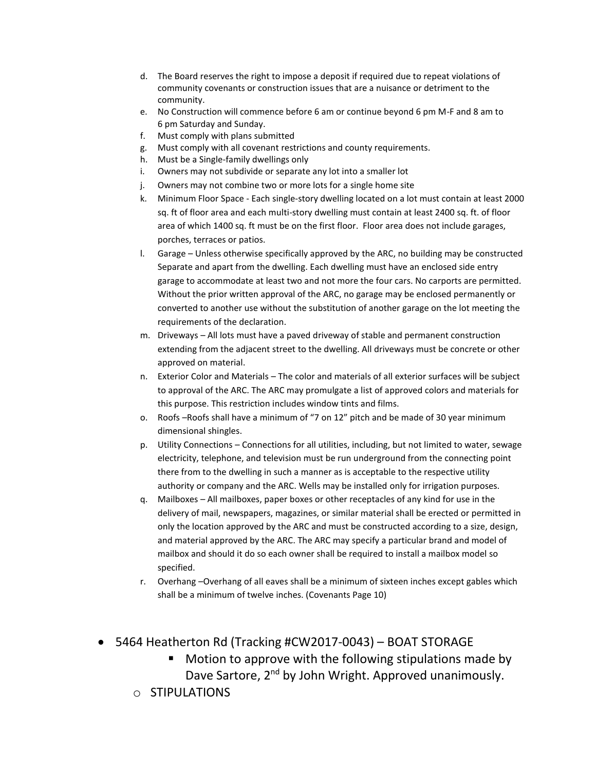- d. The Board reserves the right to impose a deposit if required due to repeat violations of community covenants or construction issues that are a nuisance or detriment to the community.
- e. No Construction will commence before 6 am or continue beyond 6 pm M-F and 8 am to 6 pm Saturday and Sunday.
- f. Must comply with plans submitted
- g. Must comply with all covenant restrictions and county requirements.
- h. Must be a Single-family dwellings only
- i. Owners may not subdivide or separate any lot into a smaller lot
- j. Owners may not combine two or more lots for a single home site
- k. Minimum Floor Space Each single-story dwelling located on a lot must contain at least 2000 sq. ft of floor area and each multi-story dwelling must contain at least 2400 sq. ft. of floor area of which 1400 sq. ft must be on the first floor. Floor area does not include garages, porches, terraces or patios.
- l. Garage Unless otherwise specifically approved by the ARC, no building may be constructed Separate and apart from the dwelling. Each dwelling must have an enclosed side entry garage to accommodate at least two and not more the four cars. No carports are permitted. Without the prior written approval of the ARC, no garage may be enclosed permanently or converted to another use without the substitution of another garage on the lot meeting the requirements of the declaration.
- m. Driveways All lots must have a paved driveway of stable and permanent construction extending from the adjacent street to the dwelling. All driveways must be concrete or other approved on material.
- n. Exterior Color and Materials The color and materials of all exterior surfaces will be subject to approval of the ARC. The ARC may promulgate a list of approved colors and materials for this purpose. This restriction includes window tints and films.
- o. Roofs –Roofs shall have a minimum of "7 on 12" pitch and be made of 30 year minimum dimensional shingles.
- p. Utility Connections Connections for all utilities, including, but not limited to water, sewage electricity, telephone, and television must be run underground from the connecting point there from to the dwelling in such a manner as is acceptable to the respective utility authority or company and the ARC. Wells may be installed only for irrigation purposes.
- q. Mailboxes All mailboxes, paper boxes or other receptacles of any kind for use in the delivery of mail, newspapers, magazines, or similar material shall be erected or permitted in only the location approved by the ARC and must be constructed according to a size, design, and material approved by the ARC. The ARC may specify a particular brand and model of mailbox and should it do so each owner shall be required to install a mailbox model so specified.
- r. Overhang –Overhang of all eaves shall be a minimum of sixteen inches except gables which shall be a minimum of twelve inches. (Covenants Page 10)
- 5464 Heatherton Rd (Tracking #CW2017-0043) BOAT STORAGE
	- Motion to approve with the following stipulations made by Dave Sartore, 2<sup>nd</sup> by John Wright. Approved unanimously.
	- o STIPULATIONS